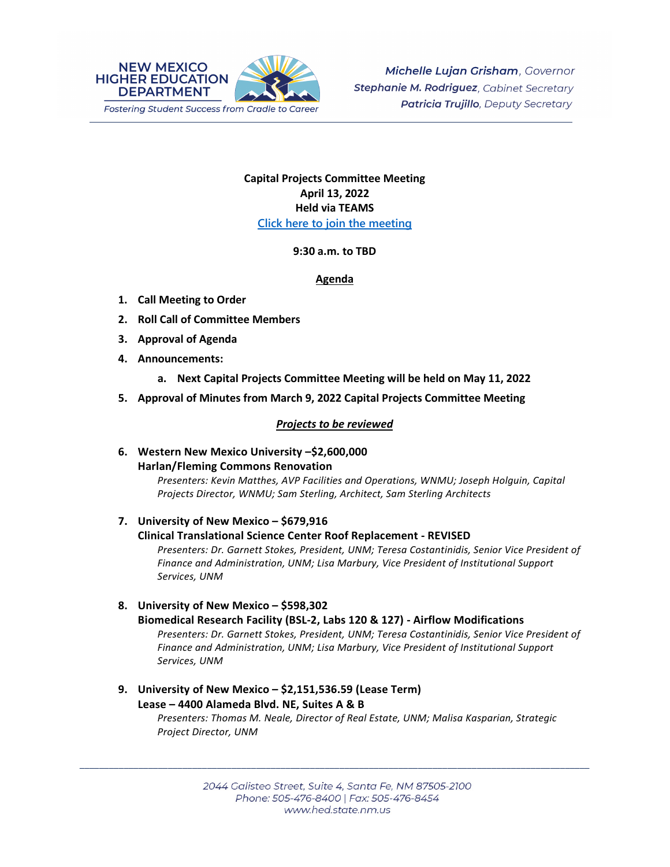

# **Capital Projects Committee Meeting April 13, 2022 Held via TEAMS [Click here to join the meeting](https://teams.microsoft.com/l/meetup-join/19%3ameeting_N2Y3ZjAzNTctYjk4ZC00ZDAxLTkxZWMtMjFjMGJjOTM1MTU2%40thread.v2/0?context=%7b%22Tid%22%3a%2204aa6bf4-d436-426f-bfa4-04b7a70e60ff%22%2c%22Oid%22%3a%222844ecea-db84-4cd8-97b7-9d410f1aa07b%22%7d)**

#### **9:30 a.m. to TBD**

#### **Agenda**

- **1. Call Meeting to Order**
- **2. Roll Call of Committee Members**
- **3. Approval of Agenda**
- **4. Announcements:**
	- **a. Next Capital Projects Committee Meeting will be held on May 11, 2022**
- **5. Approval of Minutes from March 9, 2022 Capital Projects Committee Meeting**

# *Projects to be reviewed*

**6. Western New Mexico University –\$2,600,000 Harlan/Fleming Commons Renovation** 

*Presenters: Kevin Matthes, AVP Facilities and Operations, WNMU; Joseph Holguin, Capital Projects Director, WNMU; Sam Sterling, Architect, Sam Sterling Architects*

# **7. University of New Mexico – \$679,916 Clinical Translational Science Center Roof Replacement - REVISED**  *Presenters: Dr. Garnett Stokes, President, UNM; Teresa Costantinidis, Senior Vice President of Finance and Administration, UNM; Lisa Marbury, Vice President of Institutional Support Services, UNM*

- **8. University of New Mexico – \$598,302 Biomedical Research Facility (BSL-2, Labs 120 & 127) - Airflow Modifications**  *Presenters: Dr. Garnett Stokes, President, UNM; Teresa Costantinidis, Senior Vice President of Finance and Administration, UNM; Lisa Marbury, Vice President of Institutional Support Services, UNM*
- **9. University of New Mexico – \$2,151,536.59 (Lease Term) Lease – 4400 Alameda Blvd. NE, Suites A & B**  *Presenters: Thomas M. Neale, Director of Real Estate, UNM; Malisa Kasparian, Strategic Project Director, UNM*

\_\_\_\_\_\_\_\_\_\_\_\_\_\_\_\_\_\_\_\_\_\_\_\_\_\_\_\_\_\_\_\_\_\_\_\_\_\_\_\_\_\_\_\_\_\_\_\_\_\_\_\_\_\_\_\_\_\_\_\_\_\_\_\_\_\_\_\_\_\_\_\_\_\_\_\_\_\_\_\_\_\_\_\_\_\_\_\_\_\_\_\_\_\_\_\_\_\_\_\_\_\_\_\_